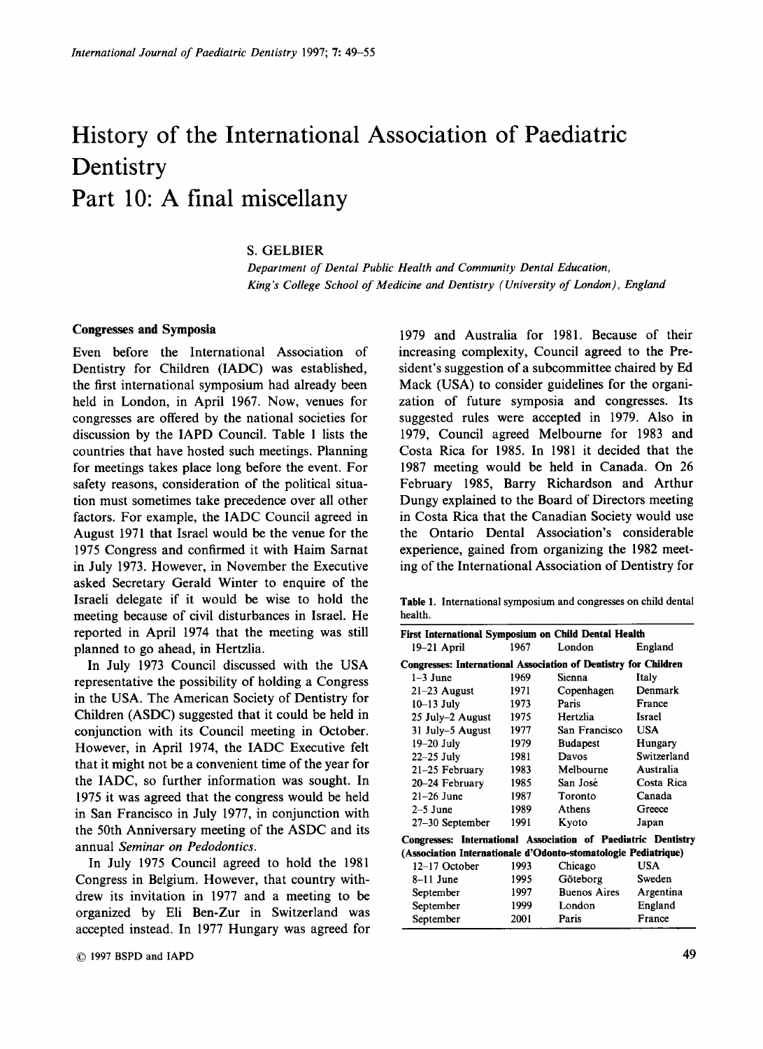# History of the International Association of Paediatric **Dentistry** Part 10: **A** final miscellany

## *S.* GELBIER

*Department of Dental Public Health and Community Dental Education, King's College School of Medicine and Dentistry (University of London), England* 

## **Congresses and Symposia**

Even before the International Association of Dentistry for Children (IADC) was established, the first international symposium had already been held in London, in April 1967. Now, venues for congresses are offered by the national societies for discussion by the IAPD Council. Table 1 lists the countries that have hosted such meetings. Planning for meetings takes place long before the event. For safety reasons, consideration of the political situation must sometimes take precedence over all other factors. For example, the IADC Council agreed in August 1971 that Israel would be the venue for the 1975 Congress and confirmed it with Haim Sarnat in July 1973. However, in November the Executive asked Secretary Gerald Winter to enquire of the Israeli delegate if it would be wise to hold the meeting because of civil disturbances in Israel. He reported in April 1974 that the meeting was still planned to go ahead, in Hertzlia.

In July 1973 Council discussed with the USA representative the possibility of holding a Congress in the USA. The American Society of Dentistry for Children (ASDC) suggested that it could be held in conjunction with its Council meeting in October. However, in April 1974, the IADC Executive felt that it might not be a convenient time of the year for the IADC, *so* further information was sought. In 1975 it was agreed that the congress would be held in San Francisco in July 1977, in conjunction with the 50th Anniversary meeting of the ASDC and its annual *Seminar on Pedodontics.* 

In July 1975 Council agreed to hold the 1981 Congress in Belgium. However, that country withdrew its invitation in 1977 and a meeting to be organized by Eli Ben-Zur in Switzerland was accepted instead. In 1977 Hungary was agreed for

1979 and Australia for 1981. Because of their increasing complexity, Council agreed to the President's suggestion of a subcommittee chaired by Ed Mack (USA) to consider guidelines for the organization of future symposia and congresses. Its suggested rules were accepted in 1979. Also in 1979, Council agreed Melbourne for 1983 and Costa Rica for 1985. In 1981 it decided that the 1987 meeting would be held in Canada. On 26 February 1985, Barry Richardson and Arthur Dungy explained to the Board of Directors meeting in Costa Rica that the Canadian Society would use the Ontario Dental Association's considerable experience, gained from organizing the 1982 meeting of the International Association of Dentistry for

**Table 1.** International symposium and congresses on child dental health.

| First International Symposium on Child Dental Health                   |      |                     |               |  |  |
|------------------------------------------------------------------------|------|---------------------|---------------|--|--|
| 19–21 April                                                            | 1967 | London              | England       |  |  |
| <b>Congresses: International Association of Dentistry for Children</b> |      |                     |               |  |  |
| $1-3$ June                                                             | 1969 | Sienna              | Italy         |  |  |
| $21-23$ August                                                         | 1971 | Copenhagen          | Denmark       |  |  |
| 10-13 July                                                             | 1973 | Paris               | France        |  |  |
| 25 July–2 August                                                       | 1975 | Hertzlia            | <b>Israel</b> |  |  |
| 31 July-5 August                                                       | 1977 | San Francisco       | <b>USA</b>    |  |  |
| $19-20$ July                                                           | 1979 | <b>Budapest</b>     | Hungary       |  |  |
| $22 - 25$ July                                                         | 1981 | Davos               | Switzerland   |  |  |
| 21-25 February                                                         | 1983 | Melbourne           | Australia     |  |  |
| 20–24 February                                                         | 1985 | San José            | Costa Rica    |  |  |
| $21-26$ June                                                           | 1987 | Toronto             | Canada        |  |  |
| $2-5$ June                                                             | 1989 | Athens              | Greece        |  |  |
| 27–30 September                                                        | 1991 | Kyoto               | Japan         |  |  |
| Congresses: International Association of Paediatric Dentistry          |      |                     |               |  |  |
| (Association Internationale d'Odonto-stomatologie Pediatrique)         |      |                     |               |  |  |
| 12–17 October                                                          | 1993 | Chicago             | USA           |  |  |
| $8-11$ June                                                            | 1995 | Göteborg            | Sweden        |  |  |
| September                                                              | 1997 | <b>Buenos Aires</b> | Argentina     |  |  |
| September                                                              | 1999 | London              | England       |  |  |
| September                                                              | 2001 | Paris               | France        |  |  |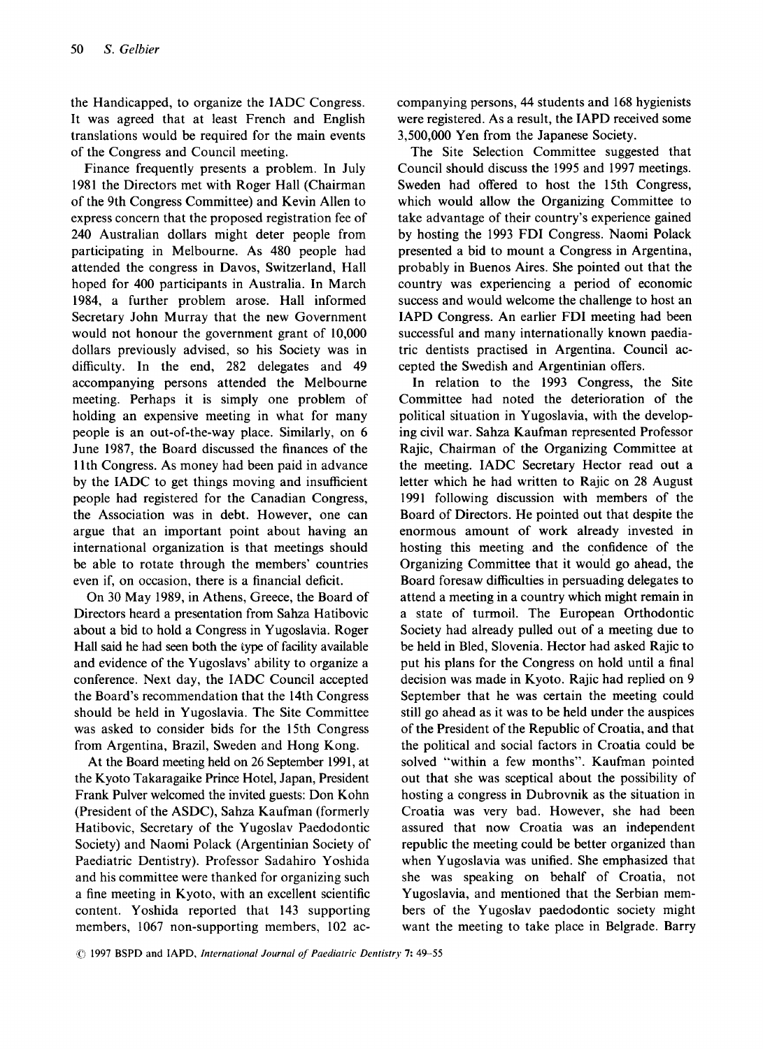the Handicapped, to organize the IADC Congress. It was agreed that at least French and English translations would be required for the main events of the Congress and Council meeting.

Finance frequently presents a problem. In July 1981 the Directors met with Roger Hall (Chairman of the 9th Congress Committee) and Kevin Allen to express concern that the proposed registration fee of 240 Australian dollars might deter people from participating in Melbourne. As 480 people had attended the congress in Davos, Switzerland, Hall hoped for 400 participants in Australia. In March 1984, a further problem arose. Hall informed Secretary John Murray that the new Government would not honour the government grant of 10,000 dollars previously advised, so his Society was in difficulty. In the end, 282 delegates and 49 accompanying persons attended the Melbourne meeting. Perhaps it is simply one problem of holding an expensive meeting in what for many people is an out-of-the-way place. Similarly, on 6 June 1987, the Board discussed the finances of the 1 1 th Congress. As money had been paid in advance by the IADC to get things moving and insufficient people had registered for the Canadian Congress, the Association was in debt. However, one can argue that an important point about having an international organization is that meetings should be able to rotate through the members' countries even if, on occasion, there is a financial deficit.

On **30** May 1989, in Athens, Greece, the Board of Directors heard a presentation from Sahza Hatibovic about a bid to hold a Congress in Yugoslavia. Roger Hall said he had seen both the iype of facility available and evidence of the Yugoslavs' ability to organize a conference. Next day, the IADC Council accepted the Board's recommendation that the 14th Congress should be held in Yugoslavia. The Site Committee was asked to consider bids for the 15th Congress from Argentina, Brazil, Sweden and Hong Kong.

At the Board meeting held on 26 September 1991, at the Kyoto Takaragaike Prince Hotel, Japan, President Frank Pulver welcomed the invited guests: Don Kohn (President of the ASDC), Sahza Kaufman (formerly Hatibovic, Secretary of the Yugoslav Paedodontic Society) and Naomi Polack (Argentinian Society of Paediatric Dentistry). Professor Sadahiro Yoshida and his committee were thanked for organizing such a fine meeting in Kyoto, with an excellent scientific content. Yoshida reported that 143 supporting members, 1067 non-supporting members, 102 accompanying persons, 44 students and 168 hygienists were registered. As a result, the IAPD received some 3,500,000 Yen from the Japanese Society.

The Site Selection Committee suggested that Council should discuss the 1995 and 1997 meetings. Sweden had offered to host the 15th Congress, which would allow the Organizing Committee to take advantage of their country's experience gained by hosting the 1993 FDI Congress. Naomi Polack presented a bid to mount a Congress in Argentina, probably in Buenos Aires. She pointed out that the country was experiencing a period of economic success and would welcome the challenge to host an IAPD Congress. An earlier FDI meeting had been successful and many internationally known paediatric dentists practised in Argentina. Council accepted the Swedish and Argentinian offers.

In relation to the 1993 Congress, the Site Committee had noted the deterioration of the political situation in Yugoslavia, with the developing civil war. Sahza Kaufman represented Professor Rajic, Chairman of the Organizing Committee at the meeting. IADC Secretary Hector read out a letter which he had written to Rajic on 28 August 1991 following discussion with members of the Board of Directors. He pointed out that despite the enormous amount of work already invested in hosting this meeting and the confidence of the Organizing Committee that it would go ahead, the Board foresaw difficulties in persuading delegates to attend a meeting in a country which might remain in a state of turmoil. The European Orthodontic Society had already pulled out of a meeting due to be held in Bled, Slovenia. Hector had asked Rajic to put his plans for the Congress on hold until a final decision was made in Kyoto. Rajic had replied on 9 September that he was certain the meeting could still go ahead as it was to be held under the auspices of the President of the Republic of Croatia, and that the political and social factors in Croatia could be solved "within a few months". Kaufman pointed out that she was sceptical about the possibility of hosting a congress in Dubrovnik as the situation in Croatia was very bad. However, she had been assured that now Croatia was an independent republic the meeting could be better organized than when Yugoslavia was unified. She emphasized that she was speaking on behalf of Croatia, not Yugoslavia, and mentioned that the Serbian members of the Yugoslav paedodontic society might want the meeting to take place in Belgrade. Barry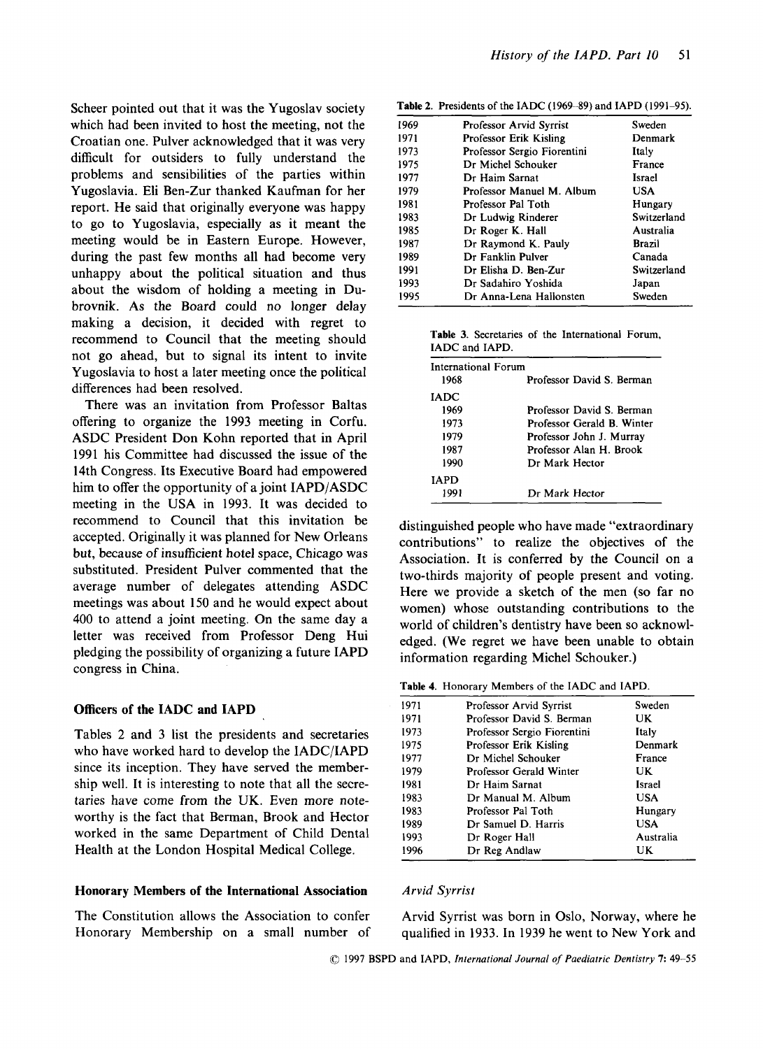Scheer pointed out that it was the Yugoslav society which had been invited to host the meeting, not the Croatian one. Pulver acknowledged that it was very difficult for outsiders to fully understand the problems and sensibilities of the parties within Yugoslavia. Eli Ben-Zur thanked Kaufman for her report. He said that originally everyone was happy to go to Yugoslavia, especially as it meant the meeting would be in Eastern Europe. However, during the past few months all had become very unhappy about the political situation and thus about the wisdom of holding a meeting in Dubrovnik. As the Board could no longer delay making a decision, it decided with regret to recommend to Council that the meeting should not go ahead, but to signal its intent to invite Yugoslavia to host a later meeting once the political differences had been resolved.

There was an invitation from Professor Baltas offering to organize the 1993 meeting in Corfu. ASDC President Don Kohn reported that in April 1991 his Committee had discussed the issue of the 14th Congress. Its Executive Board had empowered him to offer the opportunity of a joint IAPD/ASDC meeting in the USA in 1993. It was decided to recommend to Council that this invitation be accepted. Originally it was planned for New Orleans but, because of insufficient hotel space, Chicago was substituted. President Pulver commented that the average number of delegates attending ASDC meetings was about 150 and he would expect about 400 to attend a joint meeting. On the same day a letter was received from Professor Deng Hui pledging the possibility of organizing a future IAPD congress in China.

## **Officers of the IADC and IAPD**

Tables **2** and 3 list the presidents and secretaries who have worked hard to develop the IADC/IAPD since its inception. They have served the membership well. It is interesting to note that all the secretaries have come from the UK. Even more noteworthy is the fact that Berman, Brook and Hector worked in the same Department of Child Dental Health at the London Hospital Medical College.

#### **Honorary Members of the International Association**

The Constitution allows the Association to confer Honorary Membership on a small number of

**Table 2.** Presidents of the IADC (1969-89) and IAPD (1991-95).

| 1969 | Professor Arvid Syrrist     | Sweden      |
|------|-----------------------------|-------------|
| 1971 | Professor Erik Kisling      | Denmark     |
| 1973 | Professor Sergio Fiorentini | Italy       |
| 1975 | Dr Michel Schouker          | France      |
| 1977 | Dr Haim Sarnat              | Israel      |
| 1979 | Professor Manuel M. Album   | USA.        |
| 1981 | Professor Pal Toth          | Hungary     |
| 1983 | Dr Ludwig Rinderer          | Switzerland |
| 1985 | Dr Roger K. Hall            | Australia   |
| 1987 | Dr Raymond K. Pauly         | Brazil      |
| 1989 | Dr Fanklin Pulver           | Canada      |
| 1991 | Dr Elisha D. Ben-Zur        | Switzerland |
| 1993 | Dr Sadahiro Yoshida         | Japan       |
| 1995 | Dr Anna-Lena Hallonsten     | Sweden      |
|      |                             |             |

**Table 3.** Secretaries of the International Forum, IADC and IAPD.

| International Forum |                            |
|---------------------|----------------------------|
| 1968                | Professor David S. Berman  |
| <b>IADC</b>         |                            |
| 1969                | Professor David S. Berman  |
| 1973                | Professor Gerald B. Winter |
| 1979                | Professor John J. Murray   |
| 1987                | Professor Alan H. Brook    |
| 1990                | Dr Mark Hector             |
| <b>IAPD</b>         |                            |
| 1991                | Dr Mark Hector             |

distinguished people who have made "extraordinary contributions" to realize the objectives of the Association. It **is** conferred by the Council on a two-thirds majority of people present and voting. Here we provide a sketch of the men (so far no women) whose outstanding contributions to the world of children's dentistry have been so acknowledged. (We regret we have been unable to obtain information regarding Michel Schouker.)

**Table 4.** Honorary Members of the IADC and IAPD.

| 1971 | Professor Arvid Syrrist     | Sweden     |
|------|-----------------------------|------------|
| 1971 | Professor David S. Berman   | UK         |
| 1973 | Professor Sergio Fiorentini | Italy      |
| 1975 | Professor Erik Kisling      | Denmark    |
| 1977 | Dr Michel Schouker          | France     |
| 1979 | Professor Gerald Winter     | UK         |
| 1981 | Dr Haim Sarnat              | Israel     |
| 1983 | Dr Manual M. Album          | USA        |
| 1983 | Professor Pal Toth          | Hungary    |
| 1989 | Dr Samuel D. Harris         | <b>USA</b> |
| 1993 | Dr Roger Hall               | Australia  |
| 1996 | Dr Reg Andlaw               | UK         |
|      |                             |            |

#### *Arvid Syrrist*

Arvid Syrrist was born in Oslo, Norway, where he qualified in 1933. In 1939 he went to New York and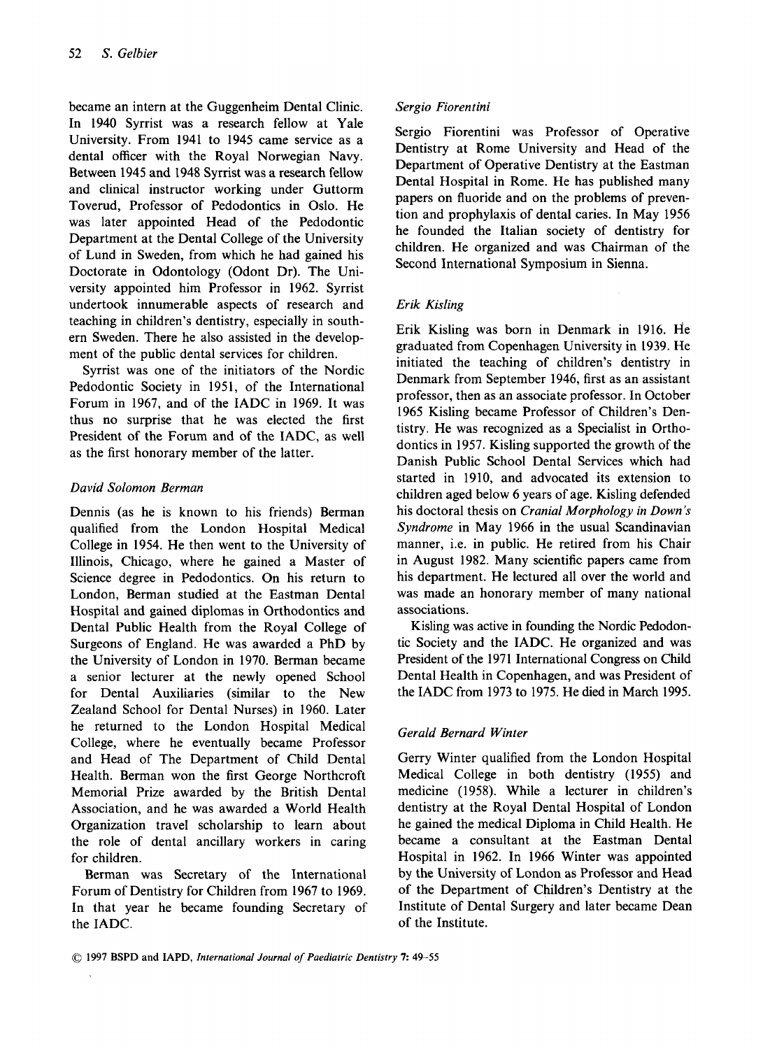became an intern at the Guggenheim Dental Clinic. In 1940 Syrrist was a research fellow at Yale University. From 1941 to 1945 came service as a dental officer with the Royal Norwegian Navy. Between 1945 and 1948 Syrrist was a research fellow and clinical instructor working under Guttorm Toverud, Professor of Pedodontics in Oslo. He was later appointed Head of the Pedodontic Department at the Dental College of the University of Lund in Sweden, from which he had gained his Doctorate in Odontology (Odont Dr). The University appointed him Professor in 1962. Syrrist undertook innumerable aspects of research and teaching in children's dentistry, especially in southern Sweden. There he also assisted in the development of the public dental services for children.

Syrrist was one of the initiators of the Nordic Pedodontic Society in 1951, of the International Forum in 1967, and of the IADC in 1969. It was thus no surprise that he was elected the first President of the Forum and of the IADC, as well as the first honorary member of the latter.

# *David Solomon Berman*

Dennis (as he is known to his friends) Berman qualified from the London Hospital Medical College in 1954. He then went to the University of Illinois, Chicago, where he gained a Master of Science degree in Pedodontics. On his return to London, Berman studied at the Eastman Dental Hospital and gained diplomas in Orthodontics and Dental Public Health from the Royal College of Surgeons of England. He was awarded a PhD by the University of London in 1970. Berman became a senior lecturer at the newly opened School for Dental Auxiliaries (similar to the New Zealand School for Dental Nurses) in 1960. Later he returned to the London Hospital Medical College, where he eventually became Professor and Head of The Department of Child Dental Health. Berman won the first George Northcroft Memorial Prize awarded by the British Dental Association, and he was awarded a World Health Organization travel scholarship to learn about the role of dental ancillary workers in caring for children.

Berman was Secretary of the International Forum of Dentistry for Children from 1967 to 1969. In that year he became founding Secretary of the IADC.

# *Sergio Fiorentini*

Sergio Fiorentini was Professor of Operative Dentistry at Rome University and Head of the Department of Operative Dentistry at the Eastman Dental Hospital in Rome. He has published many papers on fluoride and on the problems of prevention and prophylaxis of dental caries. In May 1956 he founded the Italian society of dentistry for children. He organized and was Chairman of the Second International Symposium in Sienna.

# *Erik Kisling*

Erik Kisling was born in Denmark in 1916. He graduated from Copenhagen University in 1939. He initiated the teaching of children's dentistry in Denmark from September 1946, first as an assistant professor, then as an associate professor. In October 1965 Kisling became Professor of Children's Dentistry. He was recognized as a Specialist in Orthodontics in 1957. Kisling supported the growth of the Danish Public School Dental Services which had started in 1910, and advocated its extension to children aged below 6 years of age. Kisling defended his doctoral thesis on *Cranial Morphology in Down's Syndrome* in May 1966 in the usual Scandinavian manner, i.e. in public. He retired from his Chair in August 1982. Many scientific papers came from his department. He lectured all over the world and was made an honorary member of many national associations.

Kisling was active in founding the Nordic Pedodontic Society and the IADC. He organized and was President of the 1971 International Congress on Child Dental Health in Copenhagen, and was President of the IADC from 1973 to 1975. He died in March 1995.

# *Gerald Bernard Winter*

Gerry Winter qualified from the London Hospital Medical College in both dentistry (1955) and medicine (1958). While a lecturer in children's dentistry at the Royal Dental Hospital of London he gained the medical Diploma in Child Health. He became a consultant at the Eastman Dental Hospital in 1962. In 1966 Winter was appointed by the University of London as Professor and Head of the Department of Children's Dentistry at the Institute of Dental Surgery and later became Dean of the Institute.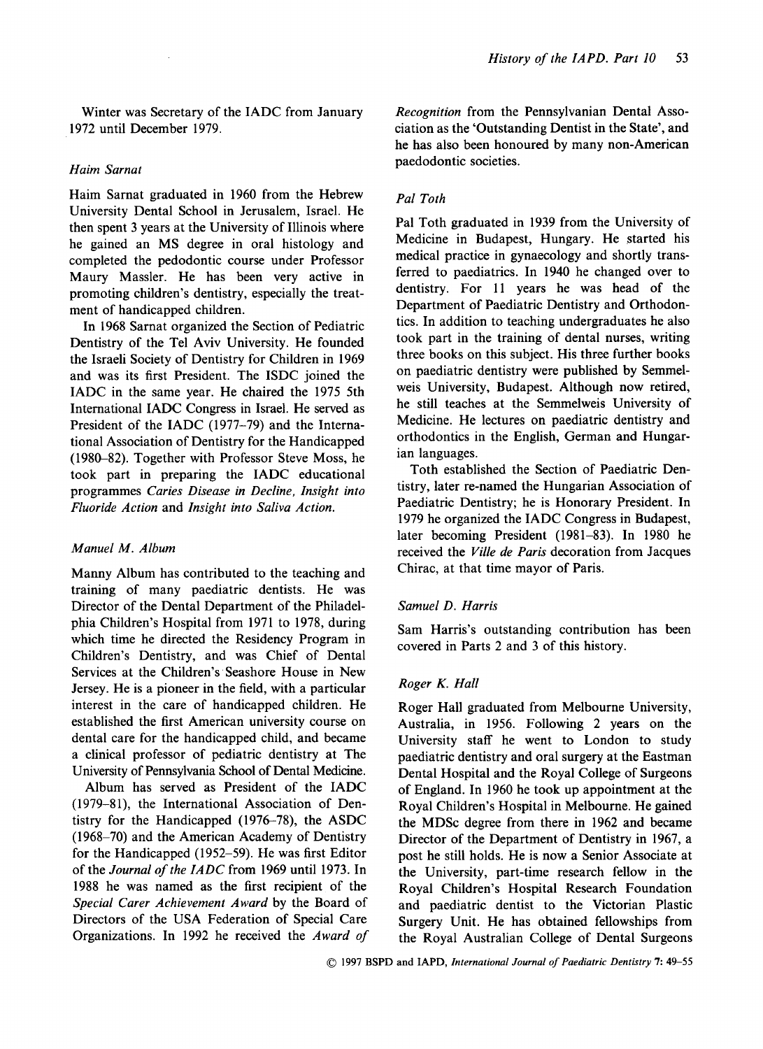Winter was Secretary of the IADC from January 1972 until December 1979.

## *Haim Sarnat*

Haim Sarnat graduated in 1960 from the Hebrew University Dental School in Jerusalem, Israel. He then spent 3 years at the University of Illinois where he gained an MS degree in oral histology and completed the pedodontic course under Professor Maury Massler. He has been very active in promoting children's dentistry, especially the treatment of handicapped children.

In 1968 Sarnat organized the Section of Pediatric Dentistry of the Tel Aviv University. He founded the Israeli Society of Dentistry for Children in 1969 and was its first President. The ISDC joined the IADC in the same year. He chaired the 1975 5th International IADC Congress in Israel. He **served** as President of the IADC (1977-79) and the International Association of Dentistry for the Handicapped (1980–82). Together with Professor Steve Moss, he took part in preparing the IADC educational programmes *Caries Disease in Decline, Insight into Fluoride Action* and *Insight into Saliva Action.* 

#### *Manuel M. Album*

Manny Album has contributed to the teaching and training of many paediatric dentists. He was Director of the Dental Department of the Philadelphia Children's Hospital from 1971 to 1978, during which time he directed the Residency Program in Children's Dentistry, and was Chief of Dental Services at the Children's Seashore House in New Jersey. He is a pioneer in the field, with a particular interest in the care of handicapped children. He established the first American university course on dental care for the handicapped child, and became a clinical professor of pediatric dentistry at The University of Pennsylvania School of Dental Medicine.

Album has served as President of the IADC (1979-81), the International Association of Dentistry for the Handicapped (1976-78), the ASDC (1968-70) and the American Academy of Dentistry for the Handicapped (1952-59). He was first Editor of the *Journal of the IADC* from 1969 until 1973. In 1988 he was named as the first recipient of the *Special Carer Achievement Award* by the Board of Directors of the USA Federation of Special Care Organizations. In 1992 he received the *Award of*  *Recognition* from the Pennsylvanian Dental Association as the 'Outstanding Dentist in the State', and he has also been honoured by many non-American paedodontic societies.

#### *Pal Toth*

Pal Toth graduated in 1939 from the University of Medicine in Budapest, Hungary. He started his medical practice in gynaecology and shortly transferred to paediatrics. In 1940 he changed over to dentistry. For 11 years he was head of the Department of Paediatric Dentistry and Orthodontics. In addition to teaching undergraduates he also took part in the training of dental nurses, writing three books on this subject. His three further books on paediatric dentistry were published by Semmelweis University, Budapest. Although now retired, he still teaches at the Semmelweis University of Medicine. He lectures on paediatric dentistry and orthodontics in the English, German and Hungarian languages.

Toth established the Section of Paediatric Dentistry, later re-named the Hungarian Association of Paediatric Dentistry; he is Honorary President. In 1979 he organized the IADC Congress in Budapest, later becoming President (1981-83). In 1980 he received the *Ville de Paris* decoration from Jacques Chirac, at that time mayor of Paris.

# *Samuel D. Harris*

Sam Harris's outstanding contribution has been covered in Parts 2 and 3 of this history.

#### *Roger K. Hall*

Roger Hall graduated from Melbourne University, Australia, in 1956. Following 2 years on the University staff he went to London to study paediatric dentistry and oral surgery at the Eastman Dental Hospital and the Royal College of Surgeons of England. In 1960 he took up appointment at the Royal Children's Hospital in Melbourne. He gained the MDSc degree from there in 1962 and became Director of the Department of Dentistry in 1967, a post he still holds. He is now a Senior Associate at the University, part-time research fellow in the Royal Children's Hospital Research Foundation and paediatric dentist to the Victorian Plastic Surgery Unit. He has obtained fellowships from the Royal Australian College of Dental Surgeons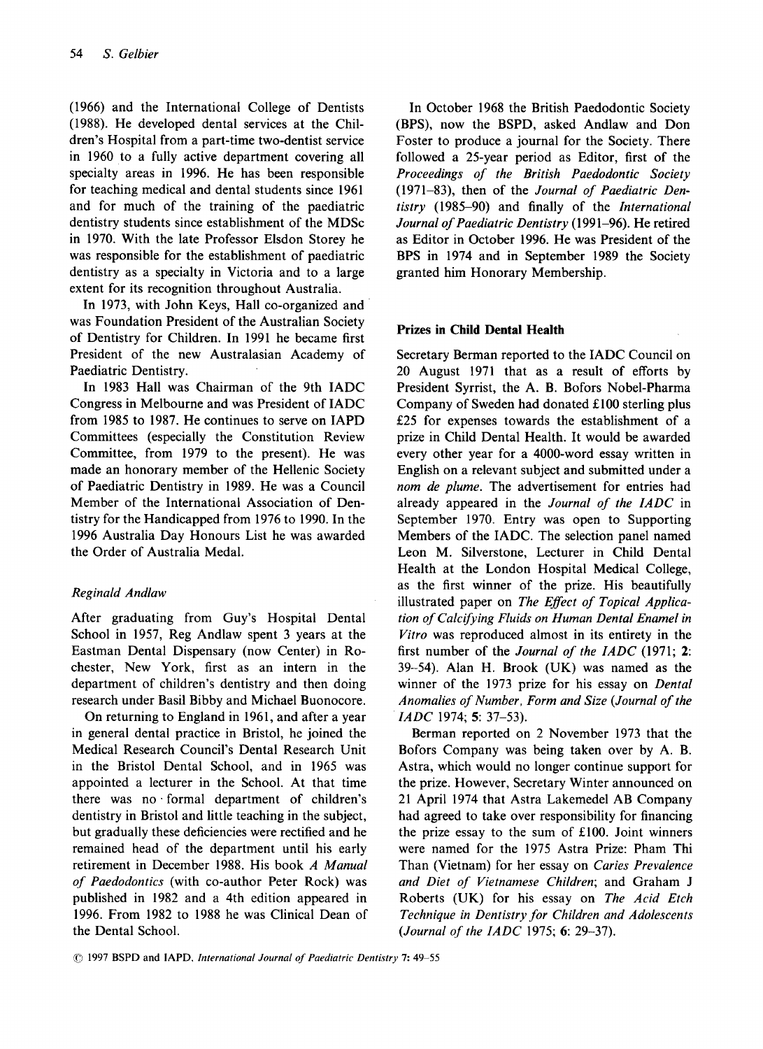(1966) and the International College of Dentists (1988). He developed dental services at the Children's Hospital from a part-time two-dentist service in 1960 to a fully active department covering all specialty areas in 1996. He has been responsible for teaching medical and dental students since 1961 and for much of the training of the paediatric dentistry students since establishment of the MDSc in 1970. With the late Professor Elsdon Storey he was responsible for the establishment of paediatric dentistry as a specialty in Victoria and to a large extent for its recognition throughout Australia.

In 1973, with John Keys, Hall co-organized and was Foundation President of the Australian Society of Dentistry for Children. In 1991 he became first President of the new Australasian Academy of Paediatric Dentistry.

In 1983 Hall was Chairman of the 9th IADC Congress in Melbourne and was President of IADC from 1985 to 1987. He continues to serve on IAPD Committees (especially the Constitution Review Committee, from 1979 to the present). He was made an honorary member of the Hellenic Society of Paediatric Dentistry in 1989. He was a Council Member of the International Association of Dentistry for the Handicapped from 1976 to 1990. In the 1996 Australia Day Honours List he was awarded the Order of Australia Medal.

# *Reginald Andlaw*

After graduating from Guy's Hospital Dental School in 1957, Reg Andlaw spent 3 years at the Eastman Dental Dispensary (now Center) in Rochester, New York, first as an intern in the department of children's dentistry and then doing research under Basil Bibby and Michael Buonocore.

On returning to England in 1961, and after a year in general dental practice in Bristol, he joined the Medical Research Council's Dental Research Unit in the Bristol Dental School, and in 1965 was appointed a lecturer in the School. At that time there was no formal department of children's dentistry in Bristol and little teaching in the subject, but gradually these deficiencies were rectified and he remained head of the department until his early retirement in December 1988. His book *A Manual of Paedodontics* (with co-author Peter Rock) was published in 1982 and a 4th edition appeared in 1996. From 1982 to 1988 he was Clinical Dean of the Dental School.

In October 1968 the British Paedodontic Society (BPS), now the BSPD, asked Andlaw and Don Foster to produce a journal for the Society. There followed a 25-year period as Editor, first of the *Proceedings of the British Paedodontic Society*  (1971-83), then of the *Journal of Paediatric Dentistry* (1985-90) and finally of the *International Journal of Paediatric Dentistry* (1991-96). He retired as Editor in October 1996. He was President of the BPS in 1974 and in September 1989 the Society granted him Honorary Membership.

## **Prizes in Child Dental Health**

Secretary Berman reported to the IADC Council on 20 August 1971 that as a result of efforts by President Syrrist, the A. B. Bofors Nobel-Pharma Company of Sweden had donated €100 sterling plus €25 for expenses towards the establishment of a prize in Child Dental Health. It would be awarded every other year for a 4000-word essay written in English on a relevant subject and submitted under a *nom de plume.* The advertisement for entries had already appeared in the *Journal of the IADC* in September 1970. Entry was open to Supporting Members of the IADC. The selection panel named Leon M. Silverstone, Lecturer in Child Dental Health at the London Hospital Medical College, as the first winner of the prize. His beautifully illustrated paper on *The Efect of Topical Application of Calcifying Fluids on Human Dental Enamel in Vitro* was reproduced almost in its entirety in the first number of the *Journal of the IADC* (1971; *2:*  39-54). Alan H. Brook (UK) was named as the winner of the 1973 prize for his essay on *Dental Anomalies of Number, Form and Size (Journal of the IADC* 1974; **5:** 37-53).

Berman reported on 2 November 1973 that the Bofors Company was being taken over by A. B. Astra, which would no longer continue support for the prize. However, Secretary Winter announced on 21 April 1974 that Astra Lakemedel AB Company had agreed to take over responsibility for financing the prize essay to the sum of €100. Joint winners were named for the 1975 Astra Prize: Pham Thi Than (Vietnam) for her essay on *Caries Prevalence and Diet of Vietnamese Children;* and Graham J Roberts (UK) for his essay on *The Acid Etch Technique in Dentistry .for Children and Adolescents (Journal of the IADC* 1975; *6:* 29-37).

*6* 1997 **BSPD and IAPD.** *International Journal of Paediatrir Dentistry 7:* **49-55**